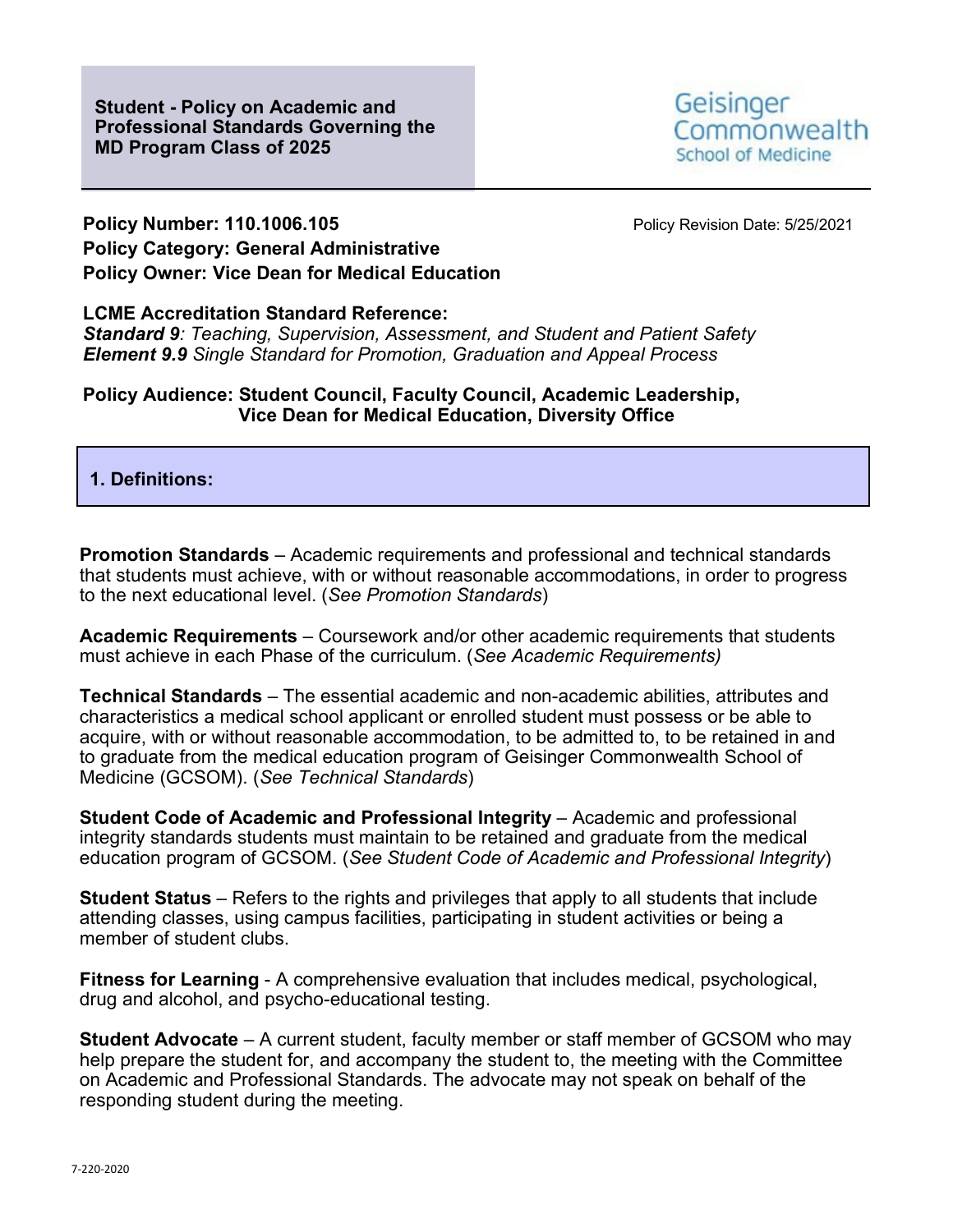# **Policy Number: 110.1006.105** Policy Revision Date: 5/25/2021 **Policy Category: General Administrative Policy Owner: Vice Dean for Medical Education**

#### **LCME Accreditation Standard Reference:**

*Standard 9: Teaching, Supervision, Assessment, and Student and Patient Safety Element 9.9 Single Standard for Promotion, Graduation and Appeal Process*

**Policy Audience: Student Council, Faculty Council, Academic Leadership, Vice Dean for Medical Education, Diversity Office**

## **1. Definitions:**

**Promotion Standards** – Academic requirements and professional and technical standards that students must achieve, with or without reasonable accommodations, in order to progress to the next educational level. (*See Promotion Standards*)

**Academic Requirements** – Coursework and/or other academic requirements that students must achieve in each Phase of the curriculum. (*See Academic Requirements)*

**Technical Standards** – The essential academic and non-academic abilities, attributes and characteristics a medical school applicant or enrolled student must possess or be able to acquire, with or without reasonable accommodation, to be admitted to, to be retained in and to graduate from the medical education program of Geisinger Commonwealth School of Medicine (GCSOM). (*See Technical Standards*)

**Student Code of Academic and Professional Integrity** – Academic and professional integrity standards students must maintain to be retained and graduate from the medical education program of GCSOM. (*See Student Code of Academic and Professional Integrity*)

**Student Status** – Refers to the rights and privileges that apply to all students that include attending classes, using campus facilities, participating in student activities or being a member of student clubs.

**Fitness for Learning** - A comprehensive evaluation that includes medical, psychological, drug and alcohol, and psycho-educational testing.

**Student Advocate** – A current student, faculty member or staff member of GCSOM who may help prepare the student for, and accompany the student to, the meeting with the Committee on Academic and Professional Standards. The advocate may not speak on behalf of the responding student during the meeting.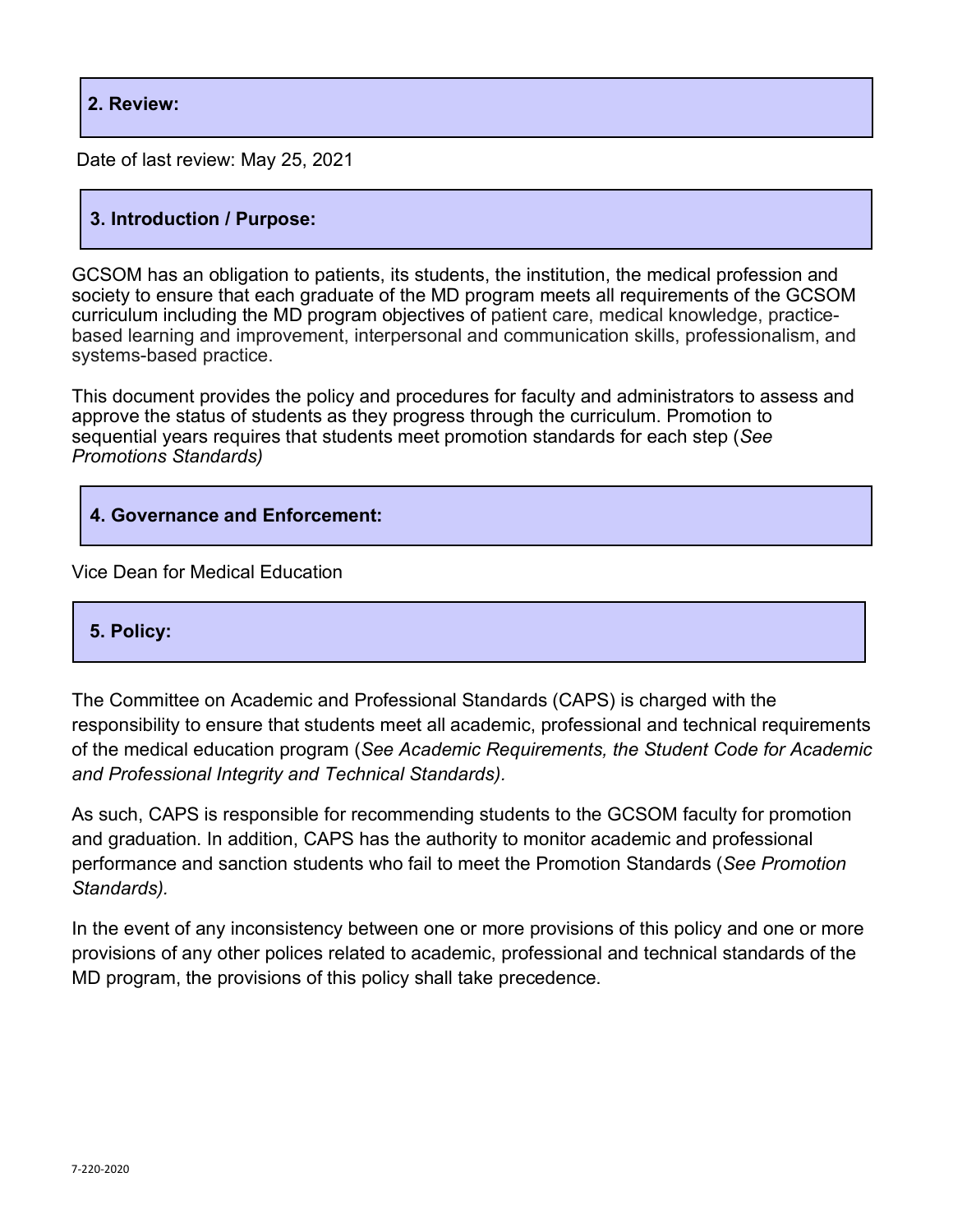#### **2. Review:**

Date of last review: May 25, 2021

## **3. Introduction / Purpose:**

GCSOM has an obligation to patients, its students, the institution, the medical profession and society to ensure that each graduate of the MD program meets all requirements of the GCSOM curriculum including the MD program objectives of patient care, medical knowledge, practicebased learning and improvement, interpersonal and communication skills, professionalism, and systems-based practice.

This document provides the policy and procedures for faculty and administrators to assess and approve the status of students as they progress through the curriculum. Promotion to sequential years requires that students meet promotion standards for each step (*See Promotions Standards)*

## **4. Governance and Enforcement:**

Vice Dean for Medical Education

# **5. Policy:**

The Committee on Academic and Professional Standards (CAPS) is charged with the responsibility to ensure that students meet all academic, professional and technical requirements of the medical education program (*See Academic Requirements, the Student Code for Academic and Professional Integrity and Technical Standards).*

As such, CAPS is responsible for recommending students to the GCSOM faculty for promotion and graduation. In addition, CAPS has the authority to monitor academic and professional performance and sanction students who fail to meet the Promotion Standards (*See Promotion Standards).*

In the event of any inconsistency between one or more provisions of this policy and one or more provisions of any other polices related to academic, professional and technical standards of the MD program, the provisions of this policy shall take precedence.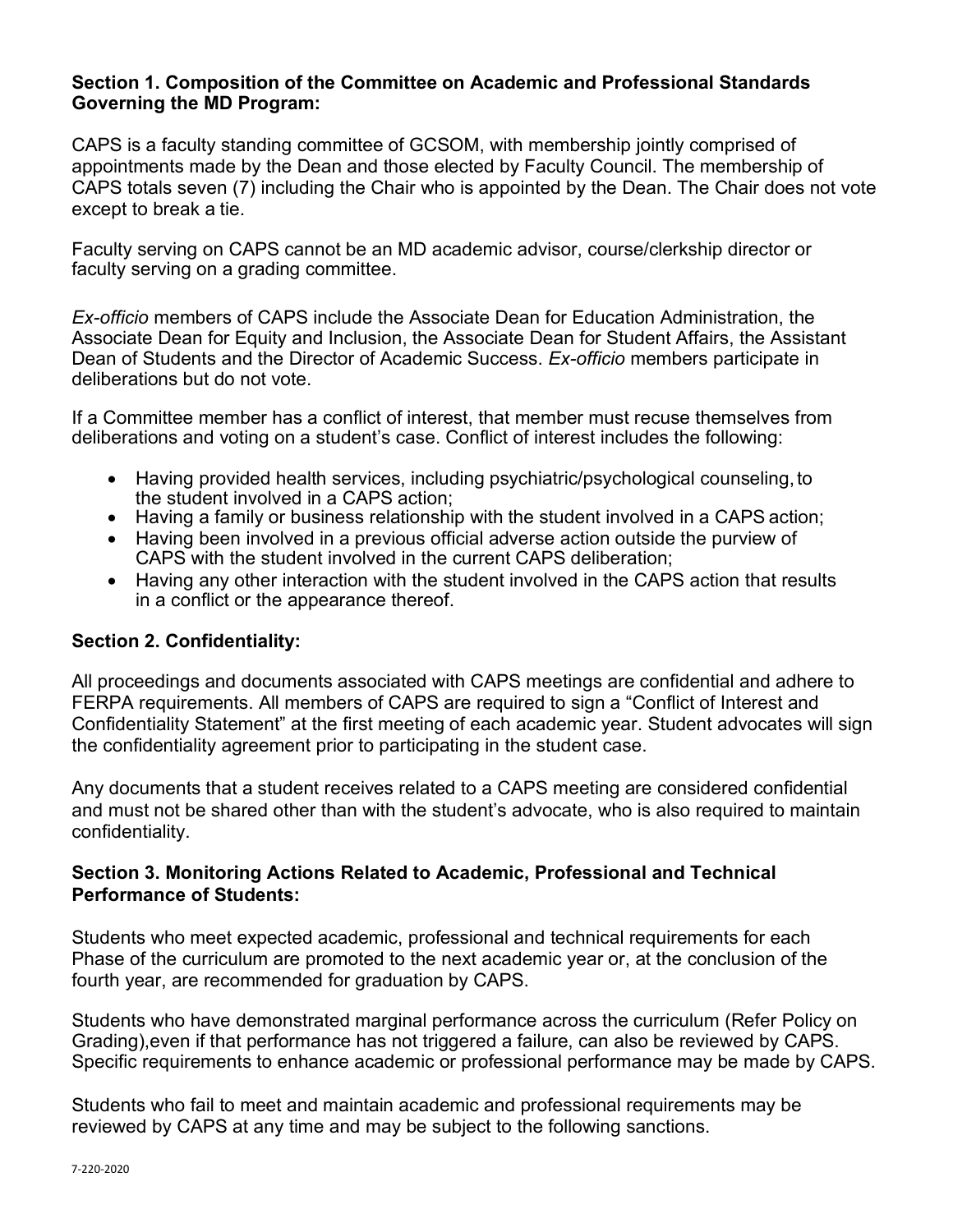#### **Section 1. Composition of the Committee on Academic and Professional Standards Governing the MD Program:**

CAPS is a faculty standing committee of GCSOM, with membership jointly comprised of appointments made by the Dean and those elected by Faculty Council. The membership of CAPS totals seven (7) including the Chair who is appointed by the Dean. The Chair does not vote except to break a tie.

Faculty serving on CAPS cannot be an MD academic advisor, course/clerkship director or faculty serving on a grading committee.

*Ex-officio* members of CAPS include the Associate Dean for Education Administration, the Associate Dean for Equity and Inclusion, the Associate Dean for Student Affairs, the Assistant Dean of Students and the Director of Academic Success. *Ex-officio* members participate in deliberations but do not vote.

If a Committee member has a conflict of interest, that member must recuse themselves from deliberations and voting on a student's case. Conflict of interest includes the following:

- Having provided health services, including psychiatric/psychological counseling,to the student involved in a CAPS action;
- Having a family or business relationship with the student involved in a CAPS action;
- Having been involved in a previous official adverse action outside the purview of CAPS with the student involved in the current CAPS deliberation;
- Having any other interaction with the student involved in the CAPS action that results in a conflict or the appearance thereof.

# **Section 2. Confidentiality:**

All proceedings and documents associated with CAPS meetings are confidential and adhere to FERPA requirements. All members of CAPS are required to sign a "Conflict of Interest and Confidentiality Statement" at the first meeting of each academic year. Student advocates will sign the confidentiality agreement prior to participating in the student case.

Any documents that a student receives related to a CAPS meeting are considered confidential and must not be shared other than with the student's advocate, who is also required to maintain confidentiality.

## **Section 3. Monitoring Actions Related to Academic, Professional and Technical Performance of Students:**

Students who meet expected academic, professional and technical requirements for each Phase of the curriculum are promoted to the next academic year or, at the conclusion of the fourth year, are recommended for graduation by CAPS.

Students who have demonstrated marginal performance across the curriculum (Refer Policy on Grading),even if that performance has not triggered a failure, can also be reviewed by CAPS. Specific requirements to enhance academic or professional performance may be made by CAPS.

Students who fail to meet and maintain academic and professional requirements may be reviewed by CAPS at any time and may be subject to the following sanctions.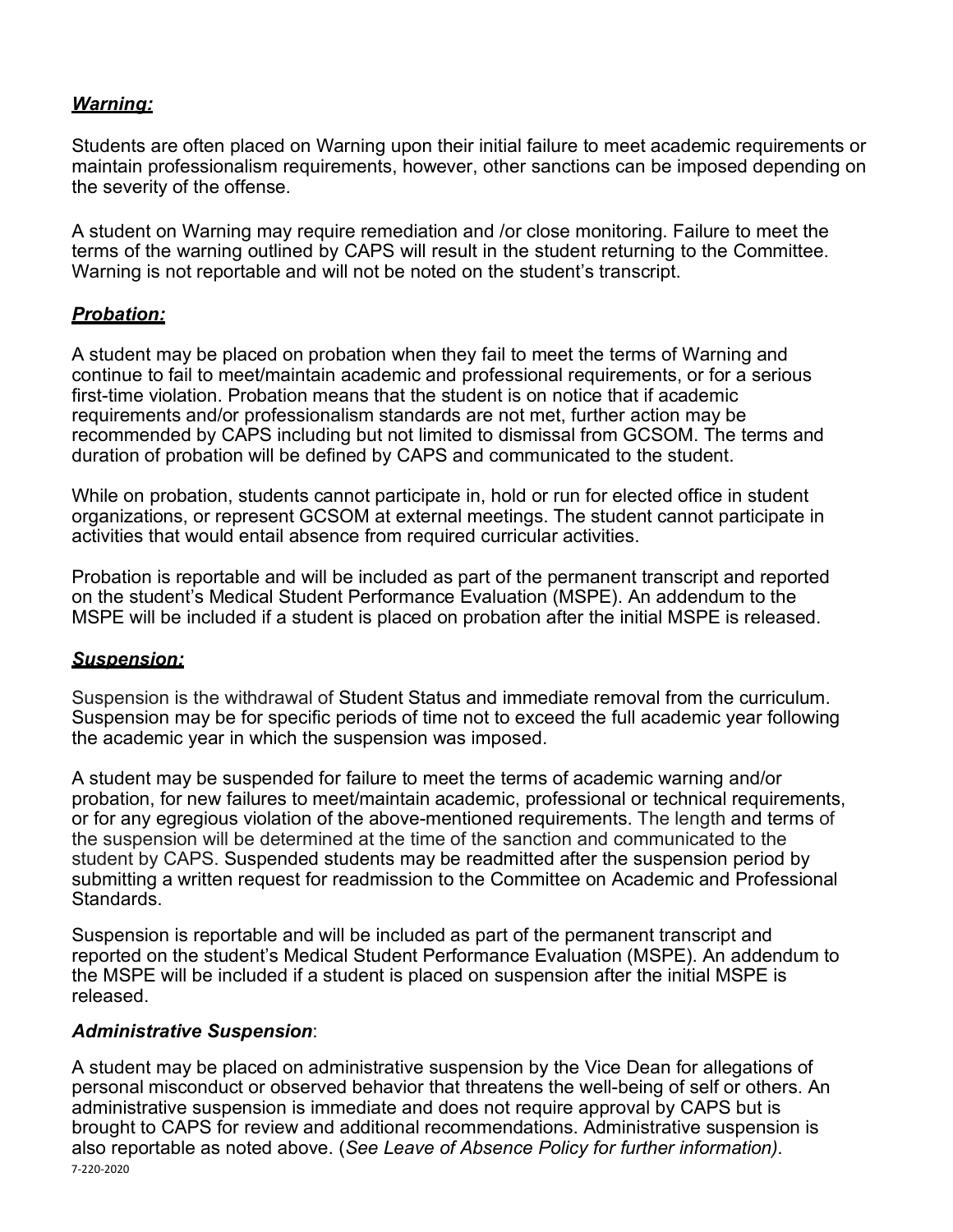## *Warning:*

Students are often placed on Warning upon their initial failure to meet academic requirements or maintain professionalism requirements, however, other sanctions can be imposed depending on the severity of the offense.

A student on Warning may require remediation and /or close monitoring. Failure to meet the terms of the warning outlined by CAPS will result in the student returning to the Committee. Warning is not reportable and will not be noted on the student's transcript.

# *Probation:*

A student may be placed on probation when they fail to meet the terms of Warning and continue to fail to meet/maintain academic and professional requirements, or for a serious first-time violation. Probation means that the student is on notice that if academic requirements and/or professionalism standards are not met, further action may be recommended by CAPS including but not limited to dismissal from GCSOM. The terms and duration of probation will be defined by CAPS and communicated to the student.

While on probation, students cannot participate in, hold or run for elected office in student organizations, or represent GCSOM at external meetings. The student cannot participate in activities that would entail absence from required curricular activities.

Probation is reportable and will be included as part of the permanent transcript and reported on the student's Medical Student Performance Evaluation (MSPE). An addendum to the MSPE will be included if a student is placed on probation after the initial MSPE is released.

## *Suspension:*

Suspension is the withdrawal of Student Status and immediate removal from the curriculum. Suspension may be for specific periods of time not to exceed the full academic year following the academic year in which the suspension was imposed.

A student may be suspended for failure to meet the terms of academic warning and/or probation, for new failures to meet/maintain academic, professional or technical requirements, or for any egregious violation of the above-mentioned requirements. The length and terms of the suspension will be determined at the time of the sanction and communicated to the student by CAPS. Suspended students may be readmitted after the suspension period by submitting a written request for readmission to the Committee on Academic and Professional Standards.

Suspension is reportable and will be included as part of the permanent transcript and reported on the student's Medical Student Performance Evaluation (MSPE). An addendum to the MSPE will be included if a student is placed on suspension after the initial MSPE is released.

#### *Administrative Suspension*:

7-220-2020 A student may be placed on administrative suspension by the Vice Dean for allegations of personal misconduct or observed behavior that threatens the well-being of self or others. An administrative suspension is immediate and does not require approval by CAPS but is brought to CAPS for review and additional recommendations. Administrative suspension is also reportable as noted above. (*See Leave of Absence Policy for further information).*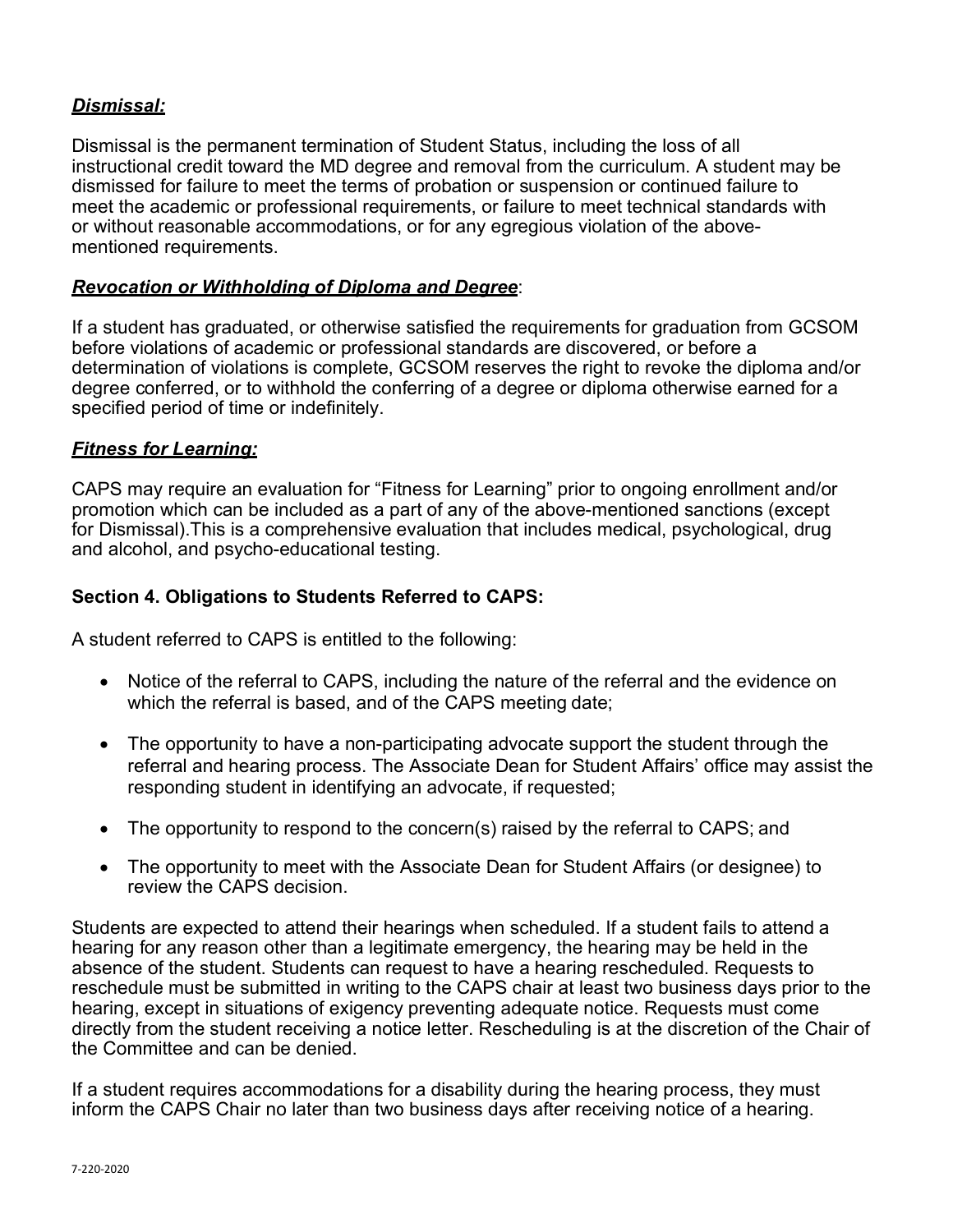## *Dismissal:*

Dismissal is the permanent termination of Student Status, including the loss of all instructional credit toward the MD degree and removal from the curriculum. A student may be dismissed for failure to meet the terms of probation or suspension or continued failure to meet the academic or professional requirements, or failure to meet technical standards with or without reasonable accommodations, or for any egregious violation of the abovementioned requirements.

#### *Revocation or Withholding of Diploma and Degree*:

If a student has graduated, or otherwise satisfied the requirements for graduation from GCSOM before violations of academic or professional standards are discovered, or before a determination of violations is complete, GCSOM reserves the right to revoke the diploma and/or degree conferred, or to withhold the conferring of a degree or diploma otherwise earned for a specified period of time or indefinitely.

#### *Fitness for Learning:*

CAPS may require an evaluation for "Fitness for Learning" prior to ongoing enrollment and/or promotion which can be included as a part of any of the above-mentioned sanctions (except for Dismissal).This is a comprehensive evaluation that includes medical, psychological, drug and alcohol, and psycho-educational testing.

## **Section 4. Obligations to Students Referred to CAPS:**

A student referred to CAPS is entitled to the following:

- Notice of the referral to CAPS, including the nature of the referral and the evidence on which the referral is based, and of the CAPS meeting date;
- The opportunity to have a non-participating advocate support the student through the referral and hearing process. The Associate Dean for Student Affairs' office may assist the responding student in identifying an advocate, if requested;
- The opportunity to respond to the concern(s) raised by the referral to CAPS; and
- The opportunity to meet with the Associate Dean for Student Affairs (or designee) to review the CAPS decision.

Students are expected to attend their hearings when scheduled. If a student fails to attend a hearing for any reason other than a legitimate emergency, the hearing may be held in the absence of the student. Students can request to have a hearing rescheduled. Requests to reschedule must be submitted in writing to the CAPS chair at least two business days prior to the hearing, except in situations of exigency preventing adequate notice. Requests must come directly from the student receiving a notice letter. Rescheduling is at the discretion of the Chair of the Committee and can be denied.

If a student requires accommodations for a disability during the hearing process, they must inform the CAPS Chair no later than two business days after receiving notice of a hearing.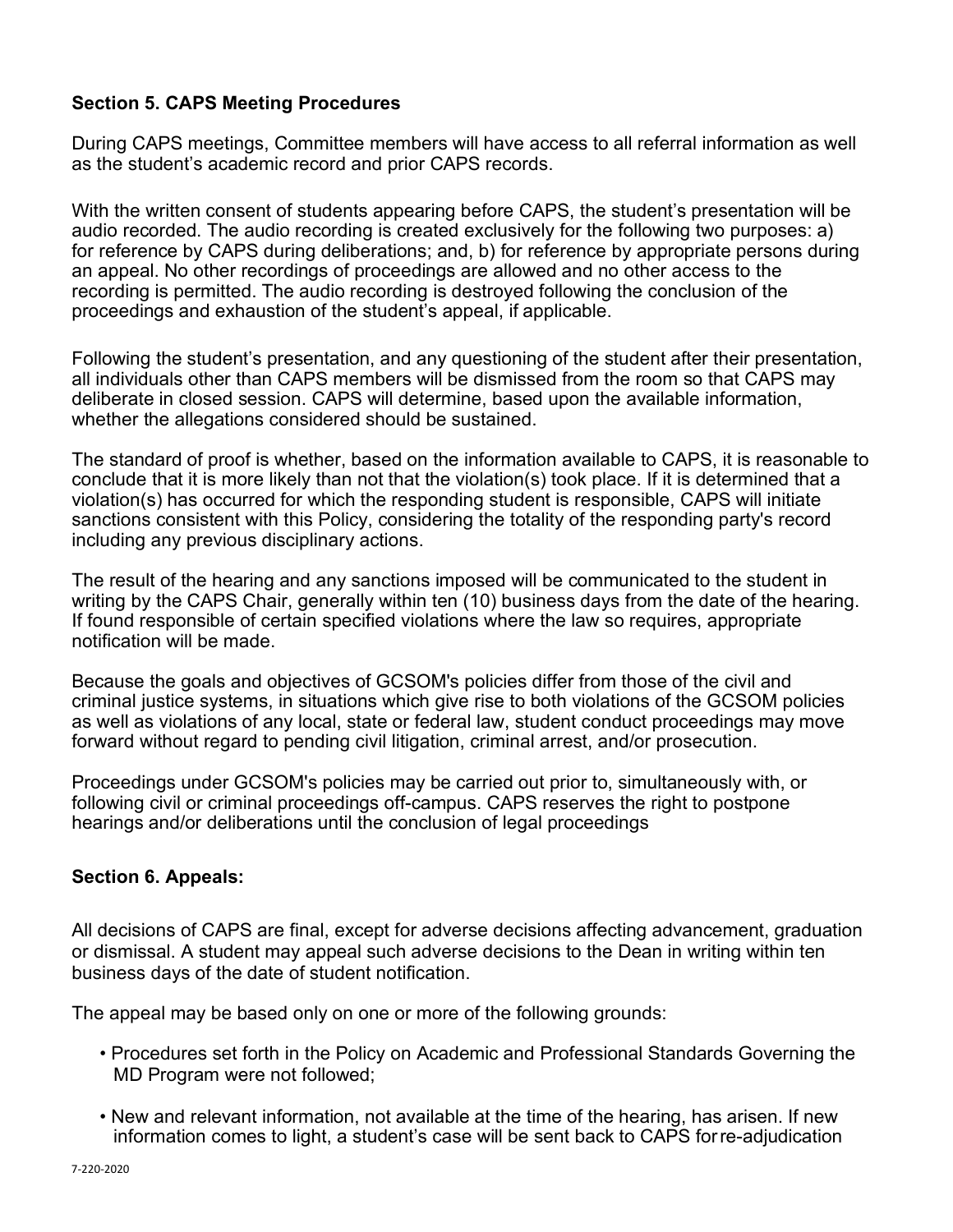# **Section 5. CAPS Meeting Procedures**

During CAPS meetings, Committee members will have access to all referral information as well as the student's academic record and prior CAPS records.

With the written consent of students appearing before CAPS, the student's presentation will be audio recorded. The audio recording is created exclusively for the following two purposes: a) for reference by CAPS during deliberations; and, b) for reference by appropriate persons during an appeal. No other recordings of proceedings are allowed and no other access to the recording is permitted. The audio recording is destroyed following the conclusion of the proceedings and exhaustion of the student's appeal, if applicable.

Following the student's presentation, and any questioning of the student after their presentation, all individuals other than CAPS members will be dismissed from the room so that CAPS may deliberate in closed session. CAPS will determine, based upon the available information, whether the allegations considered should be sustained.

The standard of proof is whether, based on the information available to CAPS, it is reasonable to conclude that it is more likely than not that the violation(s) took place. If it is determined that a violation(s) has occurred for which the responding student is responsible, CAPS will initiate sanctions consistent with this Policy, considering the totality of the responding party's record including any previous disciplinary actions.

The result of the hearing and any sanctions imposed will be communicated to the student in writing by the CAPS Chair, generally within ten (10) business days from the date of the hearing. If found responsible of certain specified violations where the law so requires, appropriate notification will be made.

Because the goals and objectives of GCSOM's policies differ from those of the civil and criminal justice systems, in situations which give rise to both violations of the GCSOM policies as well as violations of any local, state or federal law, student conduct proceedings may move forward without regard to pending civil litigation, criminal arrest, and/or prosecution.

Proceedings under GCSOM's policies may be carried out prior to, simultaneously with, or following civil or criminal proceedings off-campus. CAPS reserves the right to postpone hearings and/or deliberations until the conclusion of legal proceedings

## **Section 6. Appeals:**

All decisions of CAPS are final, except for adverse decisions affecting advancement, graduation or dismissal. A student may appeal such adverse decisions to the Dean in writing within ten business days of the date of student notification.

The appeal may be based only on one or more of the following grounds:

- Procedures set forth in the Policy on Academic and Professional Standards Governing the MD Program were not followed;
- New and relevant information, not available at the time of the hearing, has arisen. If new information comes to light, a student's case will be sent back to CAPS forre-adjudication